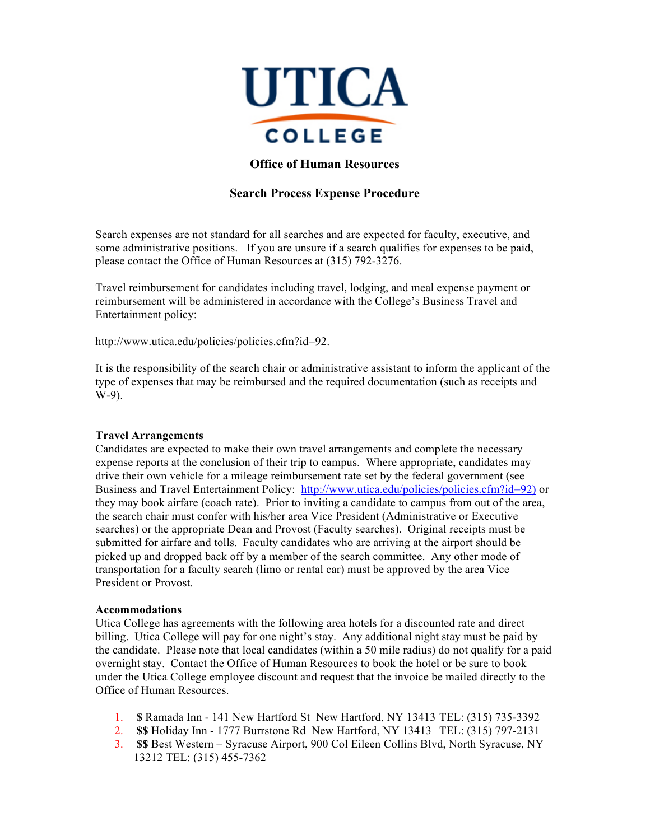

# **Office of Human Resources**

# **Search Process Expense Procedure**

Search expenses are not standard for all searches and are expected for faculty, executive, and some administrative positions. If you are unsure if a search qualifies for expenses to be paid, please contact the Office of Human Resources at (315) 792-3276.

Travel reimbursement for candidates including travel, lodging, and meal expense payment or reimbursement will be administered in accordance with the College's Business Travel and Entertainment policy:

http://www.utica.edu/policies/policies.cfm?id=92.

It is the responsibility of the search chair or administrative assistant to inform the applicant of the type of expenses that may be reimbursed and the required documentation (such as receipts and W-9).

#### **Travel Arrangements**

Candidates are expected to make their own travel arrangements and complete the necessary expense reports at the conclusion of their trip to campus. Where appropriate, candidates may drive their own vehicle for a mileage reimbursement rate set by the federal government (see Business and Travel Entertainment Policy: http://www.utica.edu/policies/policies.cfm?id=92) or they may book airfare (coach rate). Prior to inviting a candidate to campus from out of the area, the search chair must confer with his/her area Vice President (Administrative or Executive searches) or the appropriate Dean and Provost (Faculty searches). Original receipts must be submitted for airfare and tolls. Faculty candidates who are arriving at the airport should be picked up and dropped back off by a member of the search committee. Any other mode of transportation for a faculty search (limo or rental car) must be approved by the area Vice President or Provost.

#### **Accommodations**

Utica College has agreements with the following area hotels for a discounted rate and direct billing. Utica College will pay for one night's stay. Any additional night stay must be paid by the candidate. Please note that local candidates (within a 50 mile radius) do not qualify for a paid overnight stay. Contact the Office of Human Resources to book the hotel or be sure to book under the Utica College employee discount and request that the invoice be mailed directly to the Office of Human Resources.

- 1. **\$** Ramada Inn 141 New Hartford St New Hartford, NY 13413 TEL: (315) 735-3392
- 2. **\$\$** Holiday Inn 1777 Burrstone Rd New Hartford, NY 13413 TEL: (315) 797-2131
- 3. **\$\$** Best Western Syracuse Airport, 900 Col Eileen Collins Blvd, North Syracuse, NY 13212 TEL: (315) 455-7362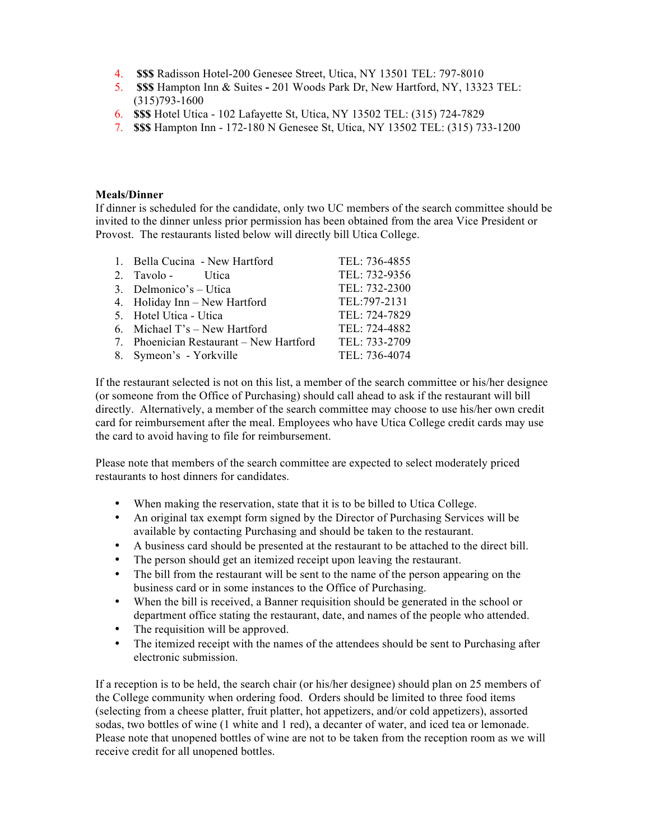- 4. **\$\$\$** Radisson Hotel-200 Genesee Street, Utica, NY 13501 TEL: 797-8010
- 5. **\$\$\$** Hampton Inn & Suites **-** 201 Woods Park Dr, New Hartford, NY, 13323 TEL: (315)793-1600
- 6. **\$\$\$** Hotel Utica 102 Lafayette St, Utica, NY 13502 TEL: (315) 724-7829
- 7. **\$\$\$** Hampton Inn 172-180 N Genesee St, Utica, NY 13502 TEL: (315) 733-1200

## **Meals/Dinner**

If dinner is scheduled for the candidate, only two UC members of the search committee should be invited to the dinner unless prior permission has been obtained from the area Vice President or Provost. The restaurants listed below will directly bill Utica College.

| 1. Bella Cucina - New Hartford          | TEL: 736-4855 |
|-----------------------------------------|---------------|
| 2. Tavolo - Utica                       | TEL: 732-9356 |
| 3. Delmonico's – Utica                  | TEL: 732-2300 |
| 4. Holiday Inn - New Hartford           | TEL:797-2131  |
| 5. Hotel Utica - Utica                  | TEL: 724-7829 |
| 6. Michael $T$ 's – New Hartford        | TEL: 724-4882 |
| 7. Phoenician Restaurant – New Hartford | TEL: 733-2709 |
| 8. Symeon's - Yorkville                 | TEL: 736-4074 |

If the restaurant selected is not on this list, a member of the search committee or his/her designee (or someone from the Office of Purchasing) should call ahead to ask if the restaurant will bill directly. Alternatively, a member of the search committee may choose to use his/her own credit card for reimbursement after the meal. Employees who have Utica College credit cards may use the card to avoid having to file for reimbursement.

Please note that members of the search committee are expected to select moderately priced restaurants to host dinners for candidates.

- When making the reservation, state that it is to be billed to Utica College.
- An original tax exempt form signed by the Director of Purchasing Services will be available by contacting Purchasing and should be taken to the restaurant.
- A business card should be presented at the restaurant to be attached to the direct bill.
- The person should get an itemized receipt upon leaving the restaurant.
- The bill from the restaurant will be sent to the name of the person appearing on the business card or in some instances to the Office of Purchasing.
- When the bill is received, a Banner requisition should be generated in the school or department office stating the restaurant, date, and names of the people who attended.
- The requisition will be approved.
- The itemized receipt with the names of the attendees should be sent to Purchasing after electronic submission.

If a reception is to be held, the search chair (or his/her designee) should plan on 25 members of the College community when ordering food. Orders should be limited to three food items (selecting from a cheese platter, fruit platter, hot appetizers, and/or cold appetizers), assorted sodas, two bottles of wine (1 white and 1 red), a decanter of water, and iced tea or lemonade. Please note that unopened bottles of wine are not to be taken from the reception room as we will receive credit for all unopened bottles.